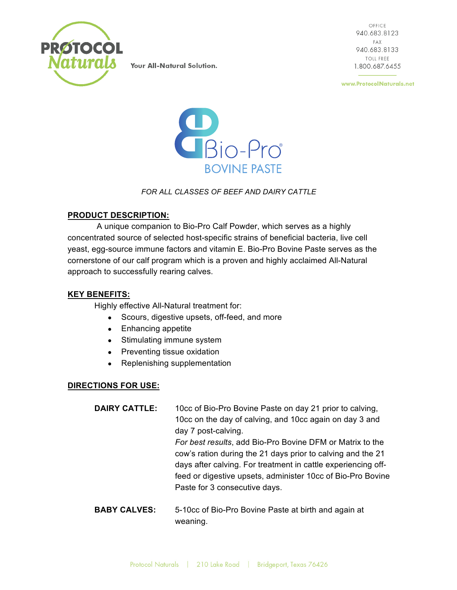

OFFICE 940.683.8123 **FAX** 940.683.8133 TOLL FREE 1.800.687.6455

www.ProtocolNaturals.net



# *FOR ALL CLASSES OF BEEF AND DAIRY CATTLE*

### **PRODUCT DESCRIPTION:**

A unique companion to Bio-Pro Calf Powder, which serves as a highly concentrated source of selected host-specific strains of beneficial bacteria, live cell yeast, egg-source immune factors and vitamin E. Bio-Pro Bovine Paste serves as the cornerstone of our calf program which is a proven and highly acclaimed All-Natural approach to successfully rearing calves.

# **KEY BENEFITS:**

Highly effective All-Natural treatment for:

- Scours, digestive upsets, off-feed, and more
- Enhancing appetite
- Stimulating immune system
- Preventing tissue oxidation
- Replenishing supplementation

# **DIRECTIONS FOR USE:**

| <b>DAIRY CATTLE:</b> | 10cc of Bio-Pro Bovine Paste on day 21 prior to calving,      |
|----------------------|---------------------------------------------------------------|
|                      | 10cc on the day of calving, and 10cc again on day 3 and       |
|                      | day 7 post-calving.                                           |
|                      | For best results, add Bio-Pro Bovine DFM or Matrix to the     |
|                      | cow's ration during the 21 days prior to calving and the 21   |
|                      | days after calving. For treatment in cattle experiencing off- |
|                      | feed or digestive upsets, administer 10cc of Bio-Pro Bovine   |
|                      | Paste for 3 consecutive days.                                 |
|                      |                                                               |

**BABY CALVES:** 5-10cc of Bio-Pro Bovine Paste at birth and again at weaning.